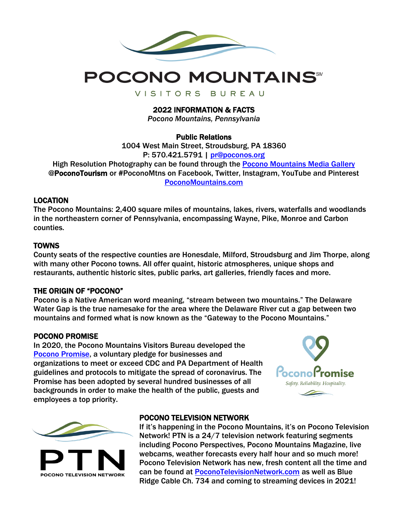



VISITORS BUREAU

2022 INFORMATION & FACTS

*Pocono Mountains, Pennsylvania*

## Public Relations

1004 West Main Street, Stroudsburg, PA 18360 P: 570.421.5791 | [pr@poconos.org](mailto:pr@poconos.org) High Resolution Photography can be found through the [Pocono Mountains](http://www.poconomountains.com/asset-request/) Media Gallery @PoconoTourism or #PoconoMtns on Facebook, Twitter, Instagram, YouTube and Pinterest [PoconoMountains.com](https://www.poconomountains.com/)

## LOCATION

The Pocono Mountains: 2,400 square miles of mountains, lakes, rivers, waterfalls and woodlands in the northeastern corner of Pennsylvania, encompassing Wayne, Pike, Monroe and Carbon counties.

## **TOWNS**

County seats of the respective counties are Honesdale, Milford, Stroudsburg and Jim Thorpe, along with many other Pocono towns. All offer quaint, historic atmospheres, unique shops and restaurants, authentic historic sites, public parks, art galleries, friendly faces and more.

### THE ORIGIN OF "POCONO"

Pocono is a Native American word meaning, "stream between two mountains." The Delaware Water Gap is the true namesake for the area where the Delaware River cut a gap between two mountains and formed what is now known as the "Gateway to the Pocono Mountains."

### POCONO PROMISE

In 2020, the Pocono Mountains Visitors Bureau developed the [Pocono Promise,](http://www.poconomountains.com/poconopromise) a voluntary pledge for businesses and organizations to meet or exceed CDC and PA Department of Health guidelines and protocols to mitigate the spread of coronavirus. The Promise has been adopted by several hundred businesses of all backgrounds in order to make the health of the public, guests and employees a top priority.





### POCONO TELEVISION NETWORK

If it's happening in the Pocono Mountains, it's on Pocono Television Network! PTN is a 24/7 television network featuring segments including Pocono Perspectives, Pocono Mountains Magazine, live webcams, weather forecasts every half hour and so much more! Pocono Television Network has new, fresh content all the time and can be found at [PoconoTelevisionNetwork.com](http://www.poconotelevisionnetwork.com/) as well as Blue Ridge Cable Ch. 734 and coming to streaming devices in 2021!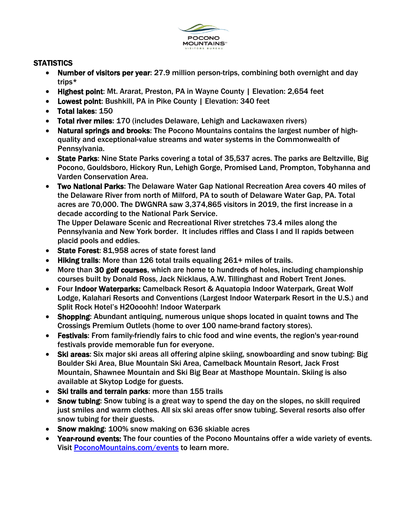

# **STATISTICS**

- Number of visitors per year: 27.9 million person-trips, combining both overnight and day trips\*
- Highest point: Mt. Ararat, Preston, PA in Wayne County | Elevation: 2,654 feet
- Lowest point: Bushkill, PA in Pike County | Elevation: 340 feet
- Total lakes: 150
- Total river miles: 170 (includes Delaware, Lehigh and Lackawaxen rivers)
- Natural springs and brooks: The Pocono Mountains contains the largest number of highquality and exceptional-value streams and water systems in the Commonwealth of Pennsylvania.
- State Parks: Nine State Parks covering a total of 35,537 acres. The parks are Beltzville, Big Pocono, Gouldsboro, Hickory Run, Lehigh Gorge, Promised Land, Prompton, Tobyhanna and Varden Conservation Area.
- Two National Parks: The Delaware Water Gap National Recreation Area covers 40 miles of the Delaware River from north of Milford, PA to south of Delaware Water Gap, PA. Total acres are 70,000. The DWGNRA saw 3,374,865 visitors in 2019, the first increase in a decade according to the National Park Service.

The Upper Delaware Scenic and Recreational River stretches 73.4 miles along the Pennsylvania and New York border. It includes riffles and Class I and II rapids between placid pools and eddies.

- State Forest: 81,958 acres of state forest land
- Hiking trails: More than 126 total trails equaling 261+ miles of trails.
- More than 30 golf courses, which are home to hundreds of holes, including championship courses built by Donald Ross, Jack Nicklaus, A.W. Tillinghast and Robert Trent Jones.
- Four Indoor Waterparks: Camelback Resort & Aquatopia Indoor Waterpark, Great Wolf Lodge, Kalahari Resorts and Conventions (Largest Indoor Waterpark Resort in the U.S.) and Split Rock Hotel's H2Oooohh! Indoor Waterpark
- Shopping: Abundant antiquing, numerous unique shops located in quaint towns and The Crossings Premium Outlets (home to over 100 name-brand factory stores).
- Festivals: From family-friendly fairs to chic food and wine events, the region's year-round festivals provide memorable fun for everyone.
- Ski areas: Six major ski areas all offering alpine skiing, snowboarding and snow tubing: Big Boulder Ski Area, Blue Mountain Ski Area, Camelback Mountain Resort, Jack Frost Mountain, Shawnee Mountain and Ski Big Bear at Masthope Mountain. Skiing is also available at Skytop Lodge for guests.
- Ski trails and terrain parks: more than 155 trails
- Snow tubing: Snow tubing is a great way to spend the day on the slopes, no skill required just smiles and warm clothes. All six ski areas offer snow tubing. Several resorts also offer snow tubing for their guests.
- Snow making: 100% snow making on 636 skiable acres
- Year-round events: The four counties of the Pocono Mountains offer a wide variety of events. Visit [PoconoMountains.com/events](https://www.poconomountains.com/events/) to learn more.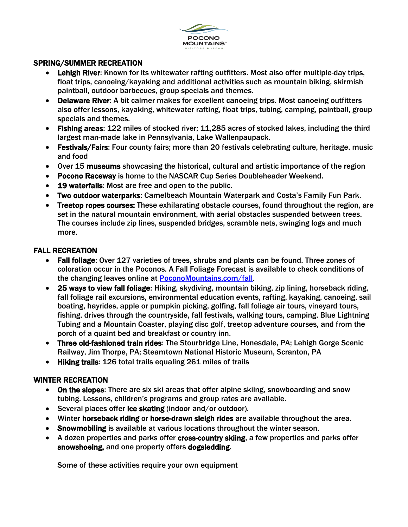

# SPRING/SUMMER RECREATION

- Lehigh River: Known for its whitewater rafting outfitters. Most also offer multiple-day trips, float trips, canoeing/kayaking and additional activities such as mountain biking, skirmish paintball, outdoor barbecues, group specials and themes.
- Delaware River: A bit calmer makes for excellent canoeing trips. Most canoeing outfitters also offer lessons, kayaking, whitewater rafting, float trips, tubing, camping, paintball, group specials and themes.
- Fishing areas: 122 miles of stocked river; 11,285 acres of stocked lakes, including the third largest man-made lake in Pennsylvania, Lake Wallenpaupack.
- Festivals/Fairs: Four county fairs; more than 20 festivals celebrating culture, heritage, music and food
- Over 15 museums showcasing the historical, cultural and artistic importance of the region
- Pocono Raceway is home to the NASCAR Cup Series Doubleheader Weekend.
- 19 waterfalls: Most are free and open to the public.
- Two outdoor waterparks: Camelbeach Mountain Waterpark and Costa's Family Fun Park.
- Treetop ropes courses: These exhilarating obstacle courses, found throughout the region, are set in the natural mountain environment, with aerial obstacles suspended between trees. The courses include zip lines, suspended bridges, scramble nets, swinging logs and much more.

# FALL RECREATION

- Fall foliage: Over 127 varieties of trees, shrubs and plants can be found. Three zones of coloration occur in the Poconos. A Fall Foliage Forecast is available to check conditions of the changing leaves online at [PoconoMountains.com/fall.](https://www.poconomountains.com/seasons/fall-in-the-pocono-mountains/)
- 25 ways to view fall foliage: Hiking, skydiving, mountain biking, zip lining, horseback riding, fall foliage rail excursions, environmental education events, rafting, kayaking, canoeing, sail boating, hayrides, apple or pumpkin picking, golfing, fall foliage air tours, vineyard tours, fishing, drives through the countryside, fall festivals, walking tours, camping, Blue Lightning Tubing and a Mountain Coaster, playing disc golf, treetop adventure courses, and from the porch of a quaint bed and breakfast or country inn.
- Three old-fashioned train rides: The Stourbridge Line, Honesdale, PA; Lehigh Gorge Scenic Railway, Jim Thorpe, PA; Steamtown National Historic Museum, Scranton, PA
- Hiking trails: 126 total trails equaling 261 miles of trails

# WINTER RECREATION

- On the slopes: There are six ski areas that offer alpine skiing, snowboarding and snow tubing. Lessons, children's programs and group rates are available.
- Several places offer ice skating (indoor and/or outdoor).
- Winter horseback riding or horse-drawn sleigh rides are available throughout the area.
- Snowmobiling is available at various locations throughout the winter season.
- A dozen properties and parks offer cross-country skiing, a few properties and parks offer snowshoeing, and one property offers dogsledding.

Some of these activities require your own equipment